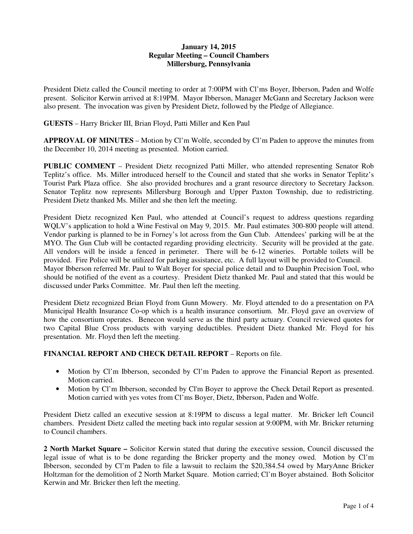# **January 14, 2015 Regular Meeting – Council Chambers Millersburg, Pennsylvania**

President Dietz called the Council meeting to order at 7:00PM with Cl'ms Boyer, Ibberson, Paden and Wolfe present. Solicitor Kerwin arrived at 8:19PM. Mayor Ibberson, Manager McGann and Secretary Jackson were also present. The invocation was given by President Dietz, followed by the Pledge of Allegiance.

**GUESTS** – Harry Bricker III, Brian Floyd, Patti Miller and Ken Paul

**APPROVAL OF MINUTES** – Motion by Cl'm Wolfe, seconded by Cl'm Paden to approve the minutes from the December 10, 2014 meeting as presented. Motion carried.

**PUBLIC COMMENT** – President Dietz recognized Patti Miller, who attended representing Senator Rob Teplitz's office. Ms. Miller introduced herself to the Council and stated that she works in Senator Teplitz's Tourist Park Plaza office. She also provided brochures and a grant resource directory to Secretary Jackson. Senator Teplitz now represents Millersburg Borough and Upper Paxton Township, due to redistricting. President Dietz thanked Ms. Miller and she then left the meeting.

President Dietz recognized Ken Paul, who attended at Council's request to address questions regarding WQLV's application to hold a Wine Festival on May 9, 2015. Mr. Paul estimates 300-800 people will attend. Vendor parking is planned to be in Forney's lot across from the Gun Club. Attendees' parking will be at the MYO. The Gun Club will be contacted regarding providing electricity. Security will be provided at the gate. All vendors will be inside a fenced in perimeter. There will be 6-12 wineries. Portable toilets will be provided. Fire Police will be utilized for parking assistance, etc. A full layout will be provided to Council. Mayor Ibberson referred Mr. Paul to Walt Boyer for special police detail and to Dauphin Precision Tool, who should be notified of the event as a courtesy. President Dietz thanked Mr. Paul and stated that this would be discussed under Parks Committee. Mr. Paul then left the meeting.

President Dietz recognized Brian Floyd from Gunn Mowery. Mr. Floyd attended to do a presentation on PA Municipal Health Insurance Co-op which is a health insurance consortium. Mr. Floyd gave an overview of how the consortium operates. Benecon would serve as the third party actuary. Council reviewed quotes for two Capital Blue Cross products with varying deductibles. President Dietz thanked Mr. Floyd for his presentation. Mr. Floyd then left the meeting.

# **FINANCIAL REPORT AND CHECK DETAIL REPORT** – Reports on file.

- Motion by Cl'm Ibberson, seconded by Cl'm Paden to approve the Financial Report as presented. Motion carried.
- Motion by Cl'm Ibberson, seconded by Cl'm Boyer to approve the Check Detail Report as presented. Motion carried with yes votes from Cl'ms Boyer, Dietz, Ibberson, Paden and Wolfe.

President Dietz called an executive session at 8:19PM to discuss a legal matter. Mr. Bricker left Council chambers. President Dietz called the meeting back into regular session at 9:00PM, with Mr. Bricker returning to Council chambers.

**2 North Market Square –** Solicitor Kerwin stated that during the executive session, Council discussed the legal issue of what is to be done regarding the Bricker property and the money owed. Motion by Cl'm Ibberson, seconded by Cl'm Paden to file a lawsuit to reclaim the \$20,384.54 owed by MaryAnne Bricker Holtzman for the demolition of 2 North Market Square. Motion carried; Cl'm Boyer abstained. Both Solicitor Kerwin and Mr. Bricker then left the meeting.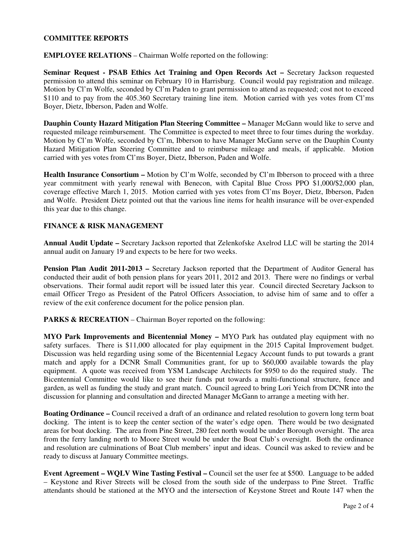### **COMMITTEE REPORTS**

**EMPLOYEE RELATIONS** – Chairman Wolfe reported on the following:

**Seminar Request - PSAB Ethics Act Training and Open Records Act – Secretary Jackson requested** permission to attend this seminar on February 10 in Harrisburg. Council would pay registration and mileage. Motion by Cl'm Wolfe, seconded by Cl'm Paden to grant permission to attend as requested; cost not to exceed \$110 and to pay from the 405.360 Secretary training line item. Motion carried with yes votes from Cl'ms Boyer, Dietz, Ibberson, Paden and Wolfe.

**Dauphin County Hazard Mitigation Plan Steering Committee –** Manager McGann would like to serve and requested mileage reimbursement. The Committee is expected to meet three to four times during the workday. Motion by Cl'm Wolfe, seconded by Cl'm, Ibberson to have Manager McGann serve on the Dauphin County Hazard Mitigation Plan Steering Committee and to reimburse mileage and meals, if applicable. Motion carried with yes votes from Cl'ms Boyer, Dietz, Ibberson, Paden and Wolfe.

**Health Insurance Consortium –** Motion by Cl'm Wolfe, seconded by Cl'm Ibberson to proceed with a three year commitment with yearly renewal with Benecon, with Capital Blue Cross PPO \$1,000/\$2,000 plan, coverage effective March 1, 2015. Motion carried with yes votes from Cl'ms Boyer, Dietz, Ibberson, Paden and Wolfe. President Dietz pointed out that the various line items for health insurance will be over-expended this year due to this change.

### **FINANCE & RISK MANAGEMENT**

**Annual Audit Update –** Secretary Jackson reported that Zelenkofske Axelrod LLC will be starting the 2014 annual audit on January 19 and expects to be here for two weeks.

**Pension Plan Audit 2011-2013 –** Secretary Jackson reported that the Department of Auditor General has conducted their audit of both pension plans for years 2011, 2012 and 2013. There were no findings or verbal observations. Their formal audit report will be issued later this year. Council directed Secretary Jackson to email Officer Trego as President of the Patrol Officers Association, to advise him of same and to offer a review of the exit conference document for the police pension plan.

**PARKS & RECREATION – Chairman Boyer reported on the following:** 

**MYO Park Improvements and Bicentennial Money –** MYO Park has outdated play equipment with no safety surfaces. There is \$11,000 allocated for play equipment in the 2015 Capital Improvement budget. Discussion was held regarding using some of the Bicentennial Legacy Account funds to put towards a grant match and apply for a DCNR Small Communities grant, for up to \$60,000 available towards the play equipment. A quote was received from YSM Landscape Architects for \$950 to do the required study. The Bicentennial Committee would like to see their funds put towards a multi-functional structure, fence and garden, as well as funding the study and grant match. Council agreed to bring Lori Yeich from DCNR into the discussion for planning and consultation and directed Manager McGann to arrange a meeting with her.

**Boating Ordinance –** Council received a draft of an ordinance and related resolution to govern long term boat docking. The intent is to keep the center section of the water's edge open. There would be two designated areas for boat docking. The area from Pine Street, 280 feet north would be under Borough oversight. The area from the ferry landing north to Moore Street would be under the Boat Club's oversight. Both the ordinance and resolution are culminations of Boat Club members' input and ideas. Council was asked to review and be ready to discuss at January Committee meetings.

**Event Agreement – WQLV Wine Tasting Festival –** Council set the user fee at \$500. Language to be added – Keystone and River Streets will be closed from the south side of the underpass to Pine Street. Traffic attendants should be stationed at the MYO and the intersection of Keystone Street and Route 147 when the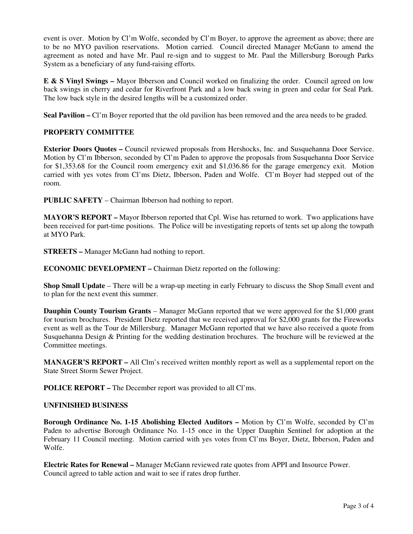event is over. Motion by Cl'm Wolfe, seconded by Cl'm Boyer, to approve the agreement as above; there are to be no MYO pavilion reservations. Motion carried. Council directed Manager McGann to amend the agreement as noted and have Mr. Paul re-sign and to suggest to Mr. Paul the Millersburg Borough Parks System as a beneficiary of any fund-raising efforts.

**E & S Vinyl Swings –** Mayor Ibberson and Council worked on finalizing the order. Council agreed on low back swings in cherry and cedar for Riverfront Park and a low back swing in green and cedar for Seal Park. The low back style in the desired lengths will be a customized order.

**Seal Pavilion –** Cl'm Boyer reported that the old pavilion has been removed and the area needs to be graded.

# **PROPERTY COMMITTEE**

**Exterior Doors Quotes –** Council reviewed proposals from Hershocks, Inc. and Susquehanna Door Service. Motion by Cl'm Ibberson, seconded by Cl'm Paden to approve the proposals from Susquehanna Door Service for \$1,353.68 for the Council room emergency exit and \$1,036.86 for the garage emergency exit. Motion carried with yes votes from Cl'ms Dietz, Ibberson, Paden and Wolfe. Cl'm Boyer had stepped out of the room.

**PUBLIC SAFETY** – Chairman Ibberson had nothing to report.

**MAYOR'S REPORT –** Mayor Ibberson reported that Cpl. Wise has returned to work. Two applications have been received for part-time positions. The Police will be investigating reports of tents set up along the towpath at MYO Park.

**STREETS –** Manager McGann had nothing to report.

**ECONOMIC DEVELOPMENT –** Chairman Dietz reported on the following:

**Shop Small Update** – There will be a wrap-up meeting in early February to discuss the Shop Small event and to plan for the next event this summer.

**Dauphin County Tourism Grants** – Manager McGann reported that we were approved for the \$1,000 grant for tourism brochures. President Dietz reported that we received approval for \$2,000 grants for the Fireworks event as well as the Tour de Millersburg. Manager McGann reported that we have also received a quote from Susquehanna Design & Printing for the wedding destination brochures. The brochure will be reviewed at the Committee meetings.

**MANAGER'S REPORT –** All Clm's received written monthly report as well as a supplemental report on the State Street Storm Sewer Project.

**POLICE REPORT – The December report was provided to all Cl'ms.** 

#### **UNFINISHED BUSINESS**

**Borough Ordinance No. 1-15 Abolishing Elected Auditors –** Motion by Cl'm Wolfe, seconded by Cl'm Paden to advertise Borough Ordinance No. 1-15 once in the Upper Dauphin Sentinel for adoption at the February 11 Council meeting. Motion carried with yes votes from Cl'ms Boyer, Dietz, Ibberson, Paden and Wolfe.

**Electric Rates for Renewal –** Manager McGann reviewed rate quotes from APPI and Insource Power. Council agreed to table action and wait to see if rates drop further.